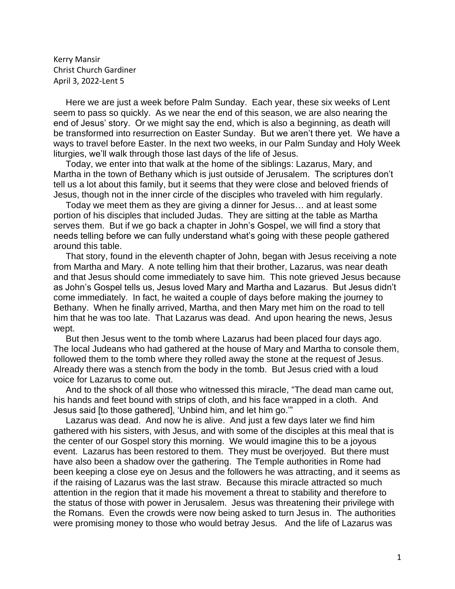Kerry Mansir Christ Church Gardiner April 3, 2022-Lent 5

 Here we are just a week before Palm Sunday. Each year, these six weeks of Lent seem to pass so quickly. As we near the end of this season, we are also nearing the end of Jesus' story. Or we might say the end, which is also a beginning, as death will be transformed into resurrection on Easter Sunday. But we aren't there yet. We have a ways to travel before Easter. In the next two weeks, in our Palm Sunday and Holy Week liturgies, we'll walk through those last days of the life of Jesus.

 Today, we enter into that walk at the home of the siblings: Lazarus, Mary, and Martha in the town of Bethany which is just outside of Jerusalem. The scriptures don't tell us a lot about this family, but it seems that they were close and beloved friends of Jesus, though not in the inner circle of the disciples who traveled with him regularly.

 Today we meet them as they are giving a dinner for Jesus… and at least some portion of his disciples that included Judas. They are sitting at the table as Martha serves them. But if we go back a chapter in John's Gospel, we will find a story that needs telling before we can fully understand what's going with these people gathered around this table.

 That story, found in the eleventh chapter of John, began with Jesus receiving a note from Martha and Mary. A note telling him that their brother, Lazarus, was near death and that Jesus should come immediately to save him. This note grieved Jesus because as John's Gospel tells us, Jesus loved Mary and Martha and Lazarus. But Jesus didn't come immediately. In fact, he waited a couple of days before making the journey to Bethany. When he finally arrived, Martha, and then Mary met him on the road to tell him that he was too late. That Lazarus was dead. And upon hearing the news, Jesus wept.

 But then Jesus went to the tomb where Lazarus had been placed four days ago. The local Judeans who had gathered at the house of Mary and Martha to console them, followed them to the tomb where they rolled away the stone at the request of Jesus. Already there was a stench from the body in the tomb. But Jesus cried with a loud voice for Lazarus to come out.

 And to the shock of all those who witnessed this miracle, "The dead man came out, his hands and feet bound with strips of cloth, and his face wrapped in a cloth. And Jesus said [to those gathered], 'Unbind him, and let him go.'"

 Lazarus was dead. And now he is alive. And just a few days later we find him gathered with his sisters, with Jesus, and with some of the disciples at this meal that is the center of our Gospel story this morning. We would imagine this to be a joyous event. Lazarus has been restored to them. They must be overjoyed. But there must have also been a shadow over the gathering. The Temple authorities in Rome had been keeping a close eye on Jesus and the followers he was attracting, and it seems as if the raising of Lazarus was the last straw. Because this miracle attracted so much attention in the region that it made his movement a threat to stability and therefore to the status of those with power in Jerusalem. Jesus was threatening their privilege with the Romans. Even the crowds were now being asked to turn Jesus in. The authorities were promising money to those who would betray Jesus. And the life of Lazarus was